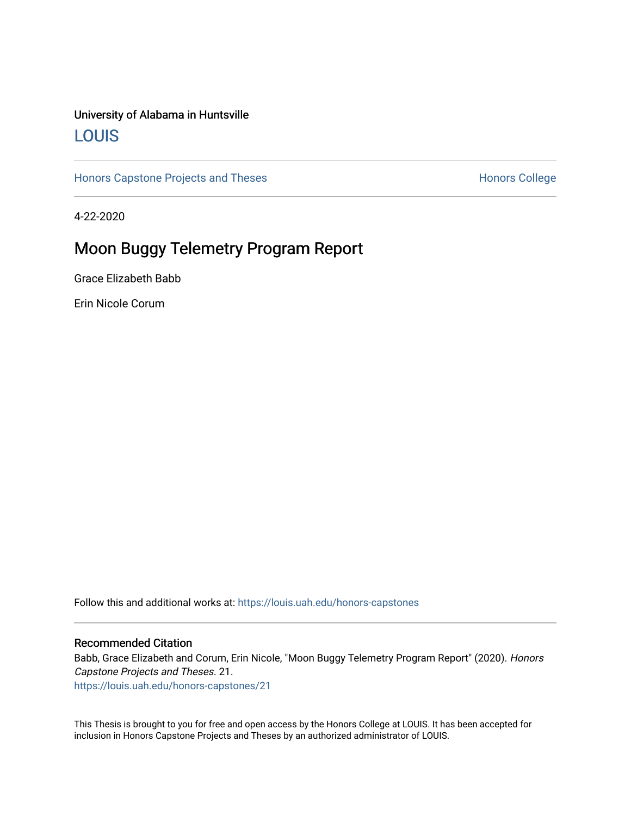### University of Alabama in Huntsville [LOUIS](https://louis.uah.edu/)

[Honors Capstone Projects and Theses](https://louis.uah.edu/honors-capstones) **Honors College** Honors College

4-22-2020

## Moon Buggy Telemetry Program Report

Grace Elizabeth Babb

Erin Nicole Corum

Follow this and additional works at: [https://louis.uah.edu/honors-capstones](https://louis.uah.edu/honors-capstones?utm_source=louis.uah.edu%2Fhonors-capstones%2F21&utm_medium=PDF&utm_campaign=PDFCoverPages) 

#### Recommended Citation

Babb, Grace Elizabeth and Corum, Erin Nicole, "Moon Buggy Telemetry Program Report" (2020). Honors Capstone Projects and Theses. 21.

[https://louis.uah.edu/honors-capstones/21](https://louis.uah.edu/honors-capstones/21?utm_source=louis.uah.edu%2Fhonors-capstones%2F21&utm_medium=PDF&utm_campaign=PDFCoverPages)

This Thesis is brought to you for free and open access by the Honors College at LOUIS. It has been accepted for inclusion in Honors Capstone Projects and Theses by an authorized administrator of LOUIS.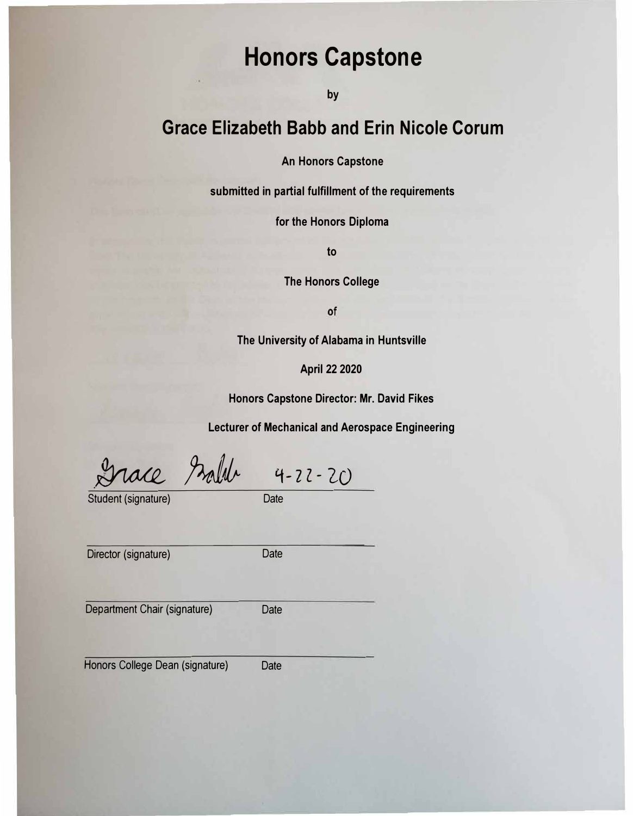# **Honors Capstone**

**by** 

## **Grace Elizabeth Babb and Erin Nicole Corum**

**An Honors Capstone** 

**submitted in partial fulfillment of the requirements** 

**for the Honors Diploma** 

**to** 

**The Honors College** 

of

**The University of Alabama in Huntsville** 

**April 22 2020** 

**Honors Capstone Director: Mr. David Fikes** 

**Lecturer of Mechanical and Aerospace Engineering** 

 $P$ *zalde* 4-22-20

Student (signature) Date

Director (signature) Date

Department Chair (signature) Date

Honors College Dean (signature) Date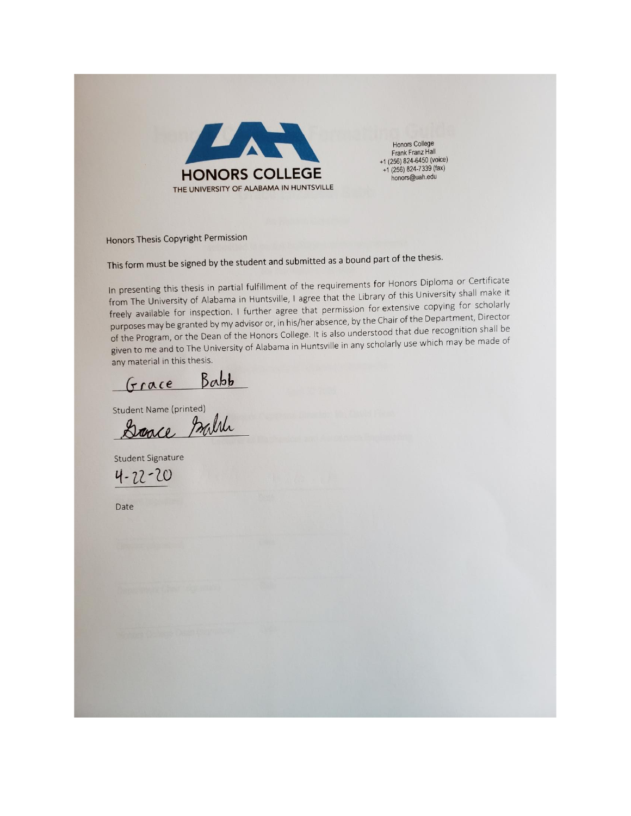

**Honors College** Frank Franz Hall +1  $(256)$  824-6450 (voice) +1 (256) 824-7339 (fax) honors@uah.edu

Honors Thesis Copyright Permission

This form must be signed by the student and submitted as a bound part of the thesis.

In presenting this thesis in partial fulfillment of the requirements for Honors Diploma or Certificate from The University of Alabama in Huntsville, I agree that the Library of this University shall make it freely available for inspection. I further agree that permission for extensive copying for scholarly purposes may be granted by my advisor or, in his/her absence, by the Chair of the Department, Director of the Program, or the Dean of the Honors College. It is also understood that due recognition shall be given to me and to The University of Alabama in Huntsville in any scholarly use which may be made of any material in this thesis.

Grace Babb

Student Name (printed)<br>Dance Mille

**Student Signature** 

 $4 - 22 - 20$ 

Date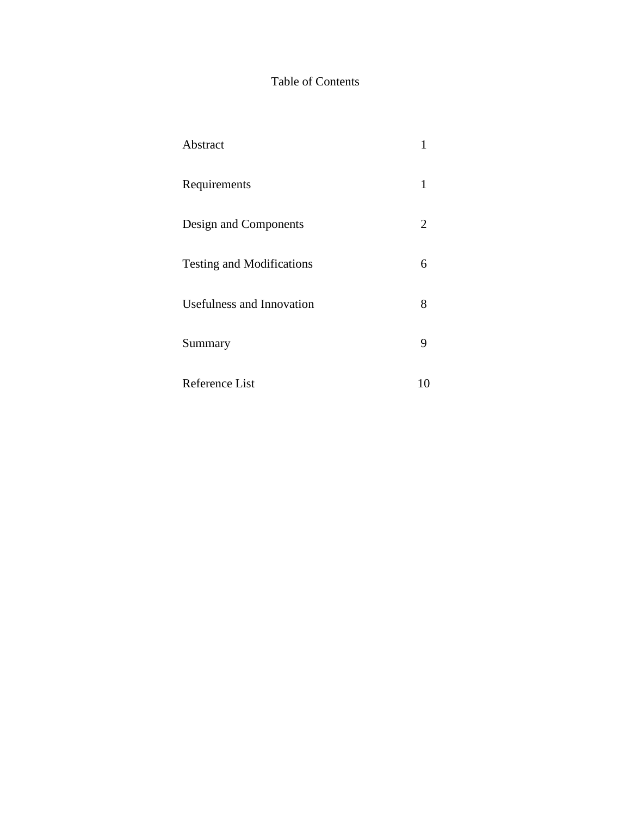### Table of Contents

| Abstract                         |    |
|----------------------------------|----|
| Requirements                     | 1  |
| Design and Components            | 2  |
| <b>Testing and Modifications</b> | 6  |
| Usefulness and Innovation        | 8  |
| Summary                          | 9  |
| Reference List                   | 10 |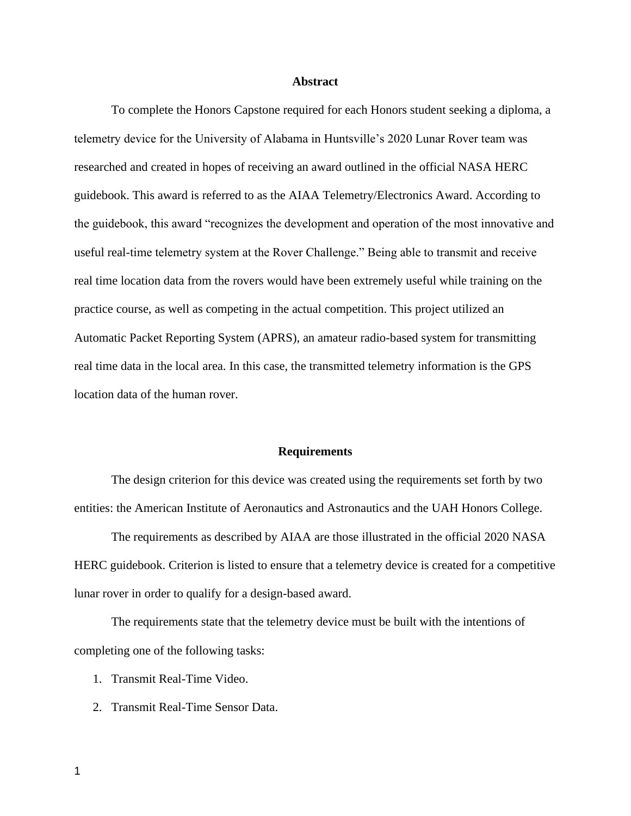#### **Abstract**

To complete the Honors Capstone required for each Honors student seeking a diploma, a telemetry device for the University of Alabama in Huntsville's 2020 Lunar Rover team was researched and created in hopes of receiving an award outlined in the official NASA HERC guidebook. This award is referred to as the AIAA Telemetry/Electronics Award. According to the guidebook, this award "recognizes the development and operation of the most innovative and useful real-time telemetry system at the Rover Challenge." Being able to transmit and receive real time location data from the rovers would have been extremely useful while training on the practice course, as well as competing in the actual competition. This project utilized an Automatic Packet Reporting System (APRS), an amateur radio-based system for transmitting real time data in the local area. In this case, the transmitted telemetry information is the GPS location data of the human rover.

#### **Requirements**

The design criterion for this device was created using the requirements set forth by two entities: the American Institute of Aeronautics and Astronautics and the UAH Honors College.

The requirements as described by AIAA are those illustrated in the official 2020 NASA HERC guidebook. Criterion is listed to ensure that a telemetry device is created for a competitive lunar rover in order to qualify for a design-based award.

The requirements state that the telemetry device must be built with the intentions of completing one of the following tasks:

- 1. Transmit Real-Time Video.
- 2. Transmit Real-Time Sensor Data.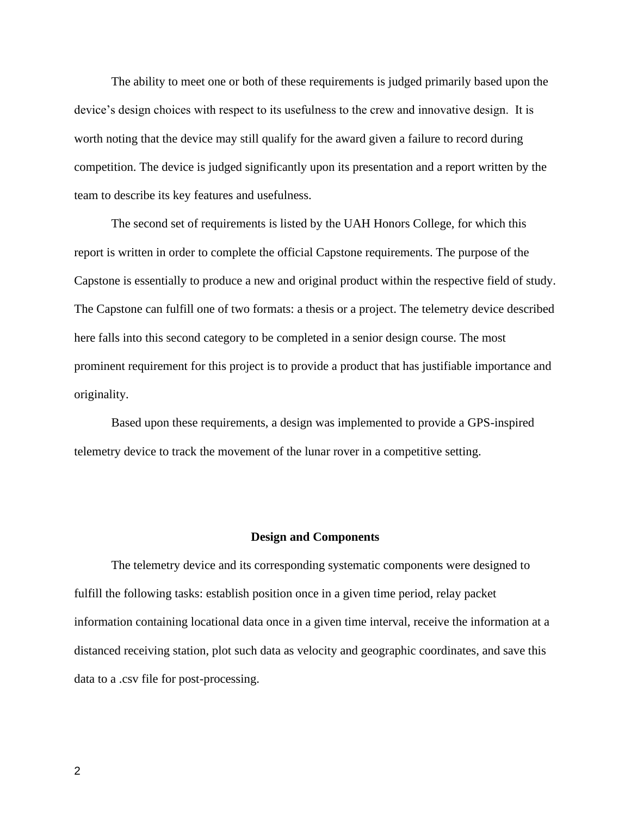The ability to meet one or both of these requirements is judged primarily based upon the device's design choices with respect to its usefulness to the crew and innovative design. It is worth noting that the device may still qualify for the award given a failure to record during competition. The device is judged significantly upon its presentation and a report written by the team to describe its key features and usefulness.

The second set of requirements is listed by the UAH Honors College, for which this report is written in order to complete the official Capstone requirements. The purpose of the Capstone is essentially to produce a new and original product within the respective field of study. The Capstone can fulfill one of two formats: a thesis or a project. The telemetry device described here falls into this second category to be completed in a senior design course. The most prominent requirement for this project is to provide a product that has justifiable importance and originality.

Based upon these requirements, a design was implemented to provide a GPS-inspired telemetry device to track the movement of the lunar rover in a competitive setting.

#### **Design and Components**

The telemetry device and its corresponding systematic components were designed to fulfill the following tasks: establish position once in a given time period, relay packet information containing locational data once in a given time interval, receive the information at a distanced receiving station, plot such data as velocity and geographic coordinates, and save this data to a .csv file for post-processing.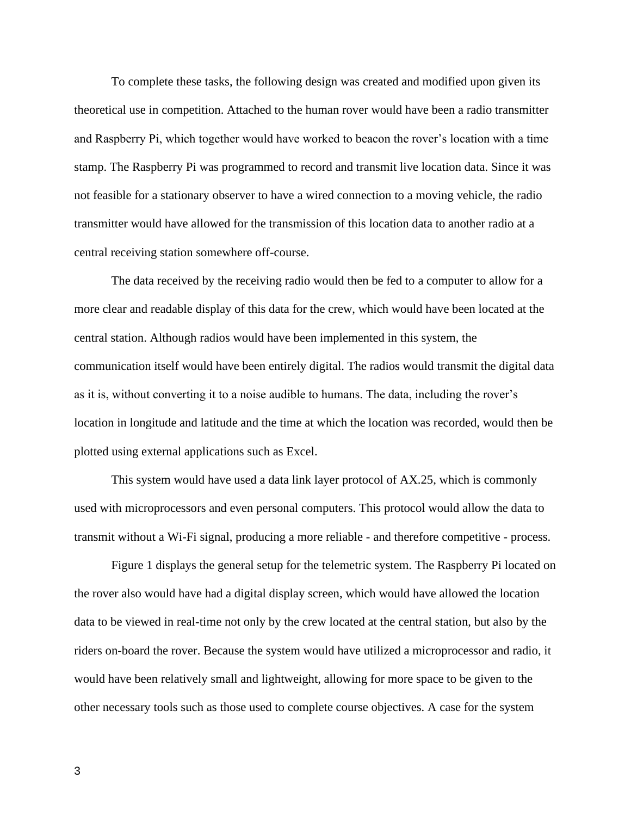To complete these tasks, the following design was created and modified upon given its theoretical use in competition. Attached to the human rover would have been a radio transmitter and Raspberry Pi, which together would have worked to beacon the rover's location with a time stamp. The Raspberry Pi was programmed to record and transmit live location data. Since it was not feasible for a stationary observer to have a wired connection to a moving vehicle, the radio transmitter would have allowed for the transmission of this location data to another radio at a central receiving station somewhere off-course.

The data received by the receiving radio would then be fed to a computer to allow for a more clear and readable display of this data for the crew, which would have been located at the central station. Although radios would have been implemented in this system, the communication itself would have been entirely digital. The radios would transmit the digital data as it is, without converting it to a noise audible to humans. The data, including the rover's location in longitude and latitude and the time at which the location was recorded, would then be plotted using external applications such as Excel.

This system would have used a data link layer protocol of AX.25, which is commonly used with microprocessors and even personal computers. This protocol would allow the data to transmit without a Wi-Fi signal, producing a more reliable - and therefore competitive - process.

Figure 1 displays the general setup for the telemetric system. The Raspberry Pi located on the rover also would have had a digital display screen, which would have allowed the location data to be viewed in real-time not only by the crew located at the central station, but also by the riders on-board the rover. Because the system would have utilized a microprocessor and radio, it would have been relatively small and lightweight, allowing for more space to be given to the other necessary tools such as those used to complete course objectives. A case for the system

3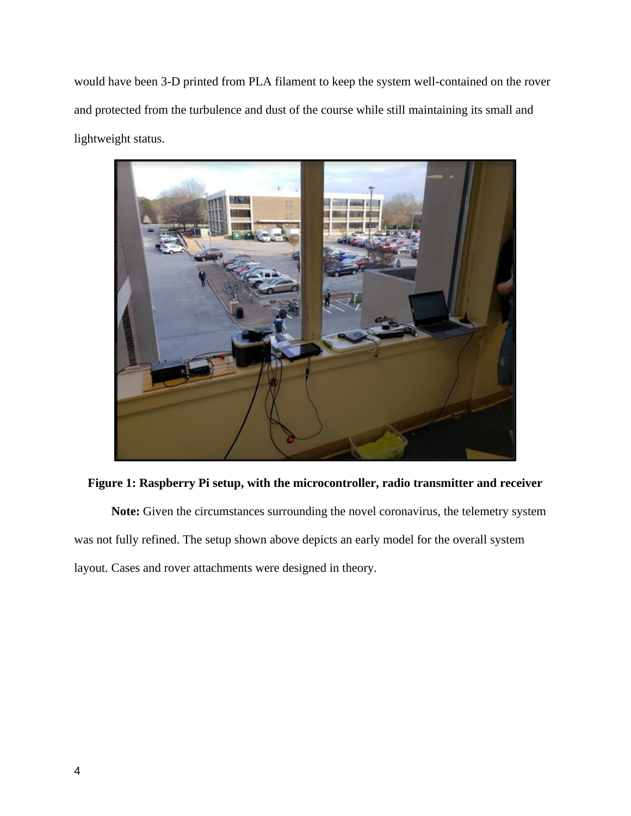would have been 3-D printed from PLA filament to keep the system well-contained on the rover and protected from the turbulence and dust of the course while still maintaining its small and lightweight status.



**Figure 1: Raspberry Pi setup, with the microcontroller, radio transmitter and receiver**

**Note:** Given the circumstances surrounding the novel coronavirus, the telemetry system was not fully refined. The setup shown above depicts an early model for the overall system layout. Cases and rover attachments were designed in theory.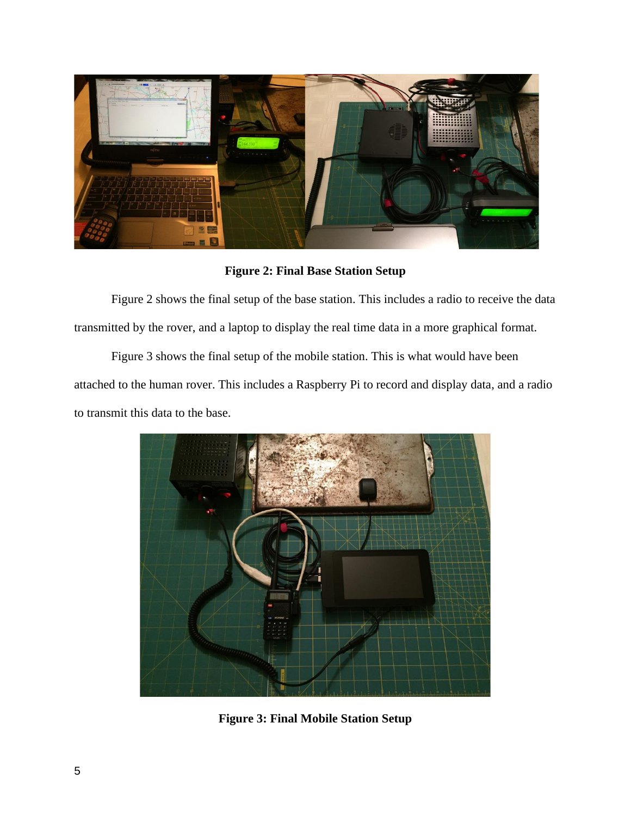

**Figure 2: Final Base Station Setup**

Figure 2 shows the final setup of the base station. This includes a radio to receive the data transmitted by the rover, and a laptop to display the real time data in a more graphical format.

Figure 3 shows the final setup of the mobile station. This is what would have been attached to the human rover. This includes a Raspberry Pi to record and display data, and a radio to transmit this data to the base.



**Figure 3: Final Mobile Station Setup**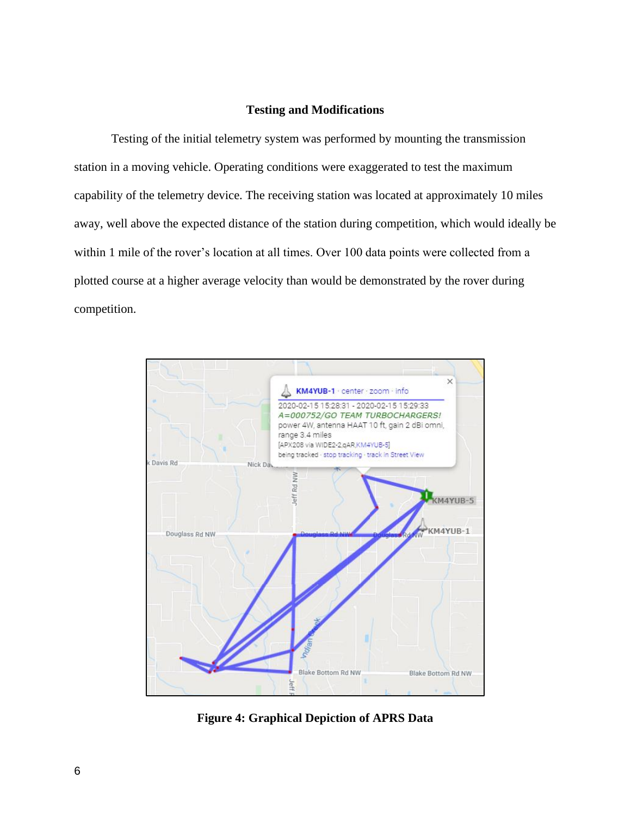#### **Testing and Modifications**

Testing of the initial telemetry system was performed by mounting the transmission station in a moving vehicle. Operating conditions were exaggerated to test the maximum capability of the telemetry device. The receiving station was located at approximately 10 miles away, well above the expected distance of the station during competition, which would ideally be within 1 mile of the rover's location at all times. Over 100 data points were collected from a plotted course at a higher average velocity than would be demonstrated by the rover during competition.



**Figure 4: Graphical Depiction of APRS Data**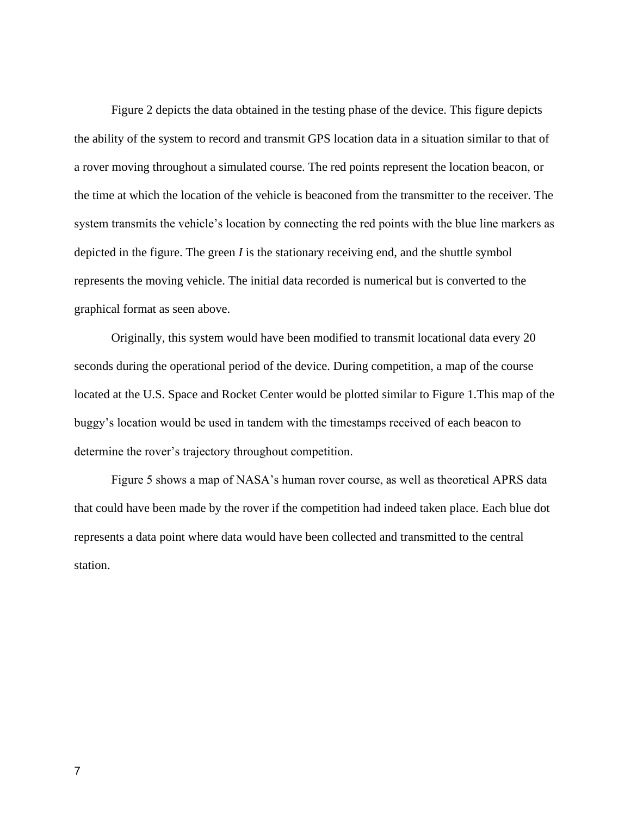Figure 2 depicts the data obtained in the testing phase of the device. This figure depicts the ability of the system to record and transmit GPS location data in a situation similar to that of a rover moving throughout a simulated course. The red points represent the location beacon, or the time at which the location of the vehicle is beaconed from the transmitter to the receiver. The system transmits the vehicle's location by connecting the red points with the blue line markers as depicted in the figure. The green *I* is the stationary receiving end, and the shuttle symbol represents the moving vehicle. The initial data recorded is numerical but is converted to the graphical format as seen above.

Originally, this system would have been modified to transmit locational data every 20 seconds during the operational period of the device. During competition, a map of the course located at the U.S. Space and Rocket Center would be plotted similar to Figure 1.This map of the buggy's location would be used in tandem with the timestamps received of each beacon to determine the rover's trajectory throughout competition.

Figure 5 shows a map of NASA's human rover course, as well as theoretical APRS data that could have been made by the rover if the competition had indeed taken place. Each blue dot represents a data point where data would have been collected and transmitted to the central station.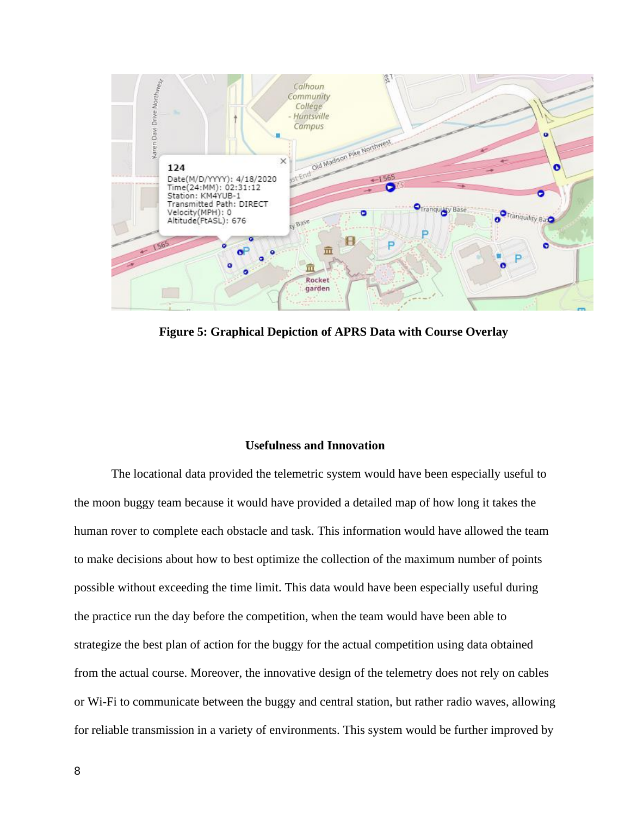

**Figure 5: Graphical Depiction of APRS Data with Course Overlay**

#### **Usefulness and Innovation**

The locational data provided the telemetric system would have been especially useful to the moon buggy team because it would have provided a detailed map of how long it takes the human rover to complete each obstacle and task. This information would have allowed the team to make decisions about how to best optimize the collection of the maximum number of points possible without exceeding the time limit. This data would have been especially useful during the practice run the day before the competition, when the team would have been able to strategize the best plan of action for the buggy for the actual competition using data obtained from the actual course. Moreover, the innovative design of the telemetry does not rely on cables or Wi-Fi to communicate between the buggy and central station, but rather radio waves, allowing for reliable transmission in a variety of environments. This system would be further improved by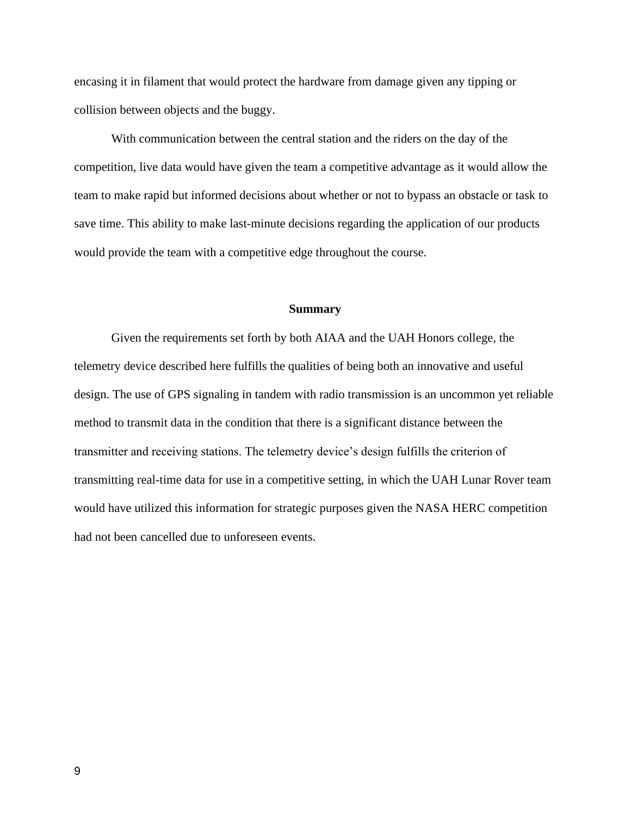encasing it in filament that would protect the hardware from damage given any tipping or collision between objects and the buggy.

With communication between the central station and the riders on the day of the competition, live data would have given the team a competitive advantage as it would allow the team to make rapid but informed decisions about whether or not to bypass an obstacle or task to save time. This ability to make last-minute decisions regarding the application of our products would provide the team with a competitive edge throughout the course.

#### **Summary**

Given the requirements set forth by both AIAA and the UAH Honors college, the telemetry device described here fulfills the qualities of being both an innovative and useful design. The use of GPS signaling in tandem with radio transmission is an uncommon yet reliable method to transmit data in the condition that there is a significant distance between the transmitter and receiving stations. The telemetry device's design fulfills the criterion of transmitting real-time data for use in a competitive setting, in which the UAH Lunar Rover team would have utilized this information for strategic purposes given the NASA HERC competition had not been cancelled due to unforeseen events.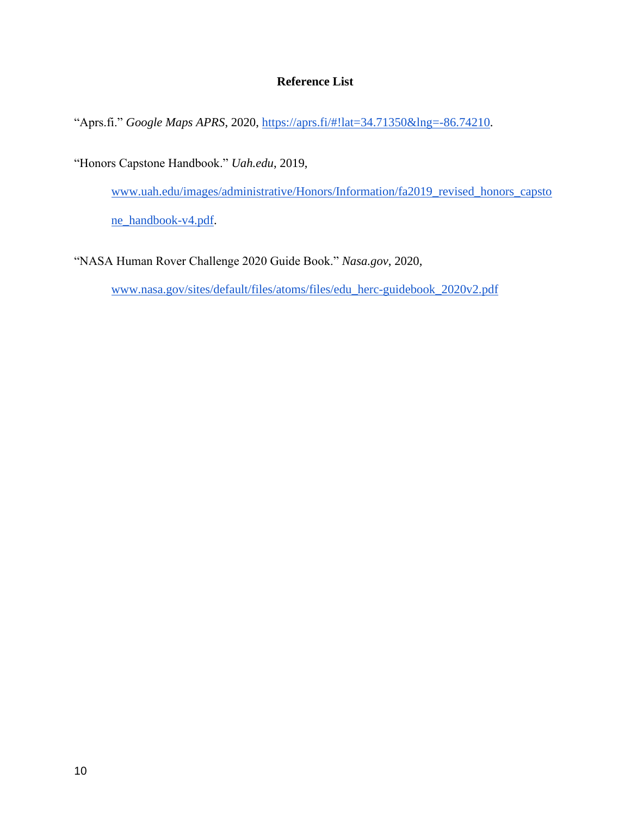#### **Reference List**

"Aprs.fi." *Google Maps APRS*, 2020, [https://aprs.fi/#!lat=34.71350&lng=-86.74210.](https://aprs.fi/#!lat=34.71350&lng=-86.74210)

"Honors Capstone Handbook." *Uah.edu*, 2019,

[www.uah.edu/images/administrative/Honors/Information/fa2019\\_revised\\_honors\\_capsto](http://www.uah.edu/images/administrative/Honors/Information/fa2019_revised_honors_capstone_handbook-v4.pdf)

[ne\\_handbook-v4.pdf.](http://www.uah.edu/images/administrative/Honors/Information/fa2019_revised_honors_capstone_handbook-v4.pdf)

"NASA Human Rover Challenge 2020 Guide Book." *Nasa.gov*, 2020,

[www.nasa.gov/sites/default/files/atoms/files/edu\\_herc-guidebook\\_2020v2.pdf](http://www.nasa.gov/sites/default/files/atoms/files/edu_herc-guidebook_2020v2.pdf)